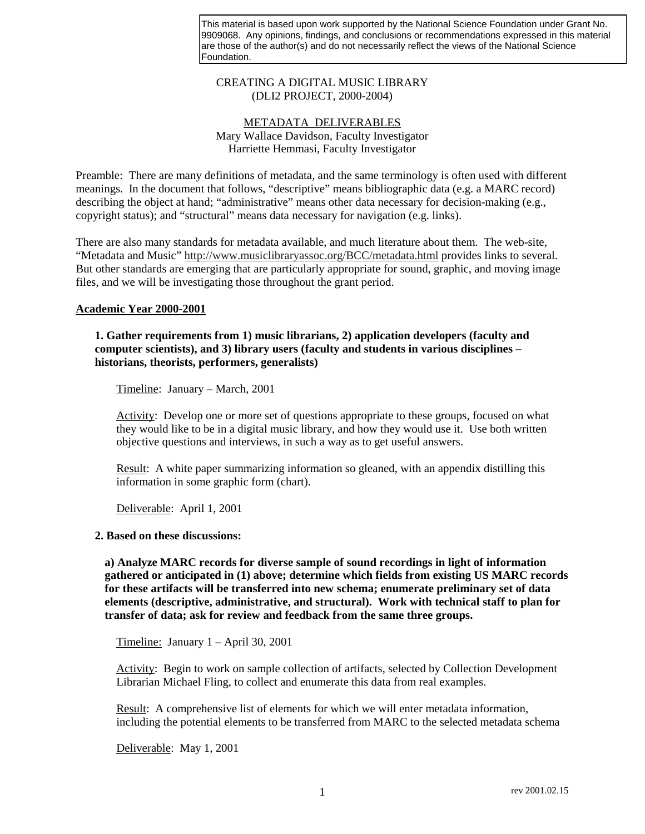This material is based upon work supported by the National Science Foundation under Grant No. 9909068. Any opinions, findings, and conclusions or recommendations expressed in this material are those of the author(s) and do not necessarily reflect the views of the National Science Foundation.

## CREATING A DIGITAL MUSIC LIBRARY (DLI2 PROJECT, 2000-2004)

# METADATA DELIVERABLES Mary Wallace Davidson, Faculty Investigator Harriette Hemmasi, Faculty Investigator

Preamble: There are many definitions of metadata, and the same terminology is often used with different meanings. In the document that follows, "descriptive" means bibliographic data (e.g. a MARC record) describing the object at hand; "administrative" means other data necessary for decision-making (e.g., copyright status); and "structural" means data necessary for navigation (e.g. links).

There are also many standards for metadata available, and much literature about them. The web-site, "Metadata and Music" http://www.musiclibraryassoc.org/BCC/metadata.html provides links to several. But other standards are emerging that are particularly appropriate for sound, graphic, and moving image files, and we will be investigating those throughout the grant period.

## **Academic Year 2000-2001**

# **1. Gather requirements from 1) music librarians, 2) application developers (faculty and computer scientists), and 3) library users (faculty and students in various disciplines – historians, theorists, performers, generalists)**

Timeline: January – March, 2001

Activity: Develop one or more set of questions appropriate to these groups, focused on what they would like to be in a digital music library, and how they would use it. Use both written objective questions and interviews, in such a way as to get useful answers.

Result: A white paper summarizing information so gleaned, with an appendix distilling this information in some graphic form (chart).

Deliverable: April 1, 2001

### **2. Based on these discussions:**

**a) Analyze MARC records for diverse sample of sound recordings in light of information gathered or anticipated in (1) above; determine which fields from existing US MARC records for these artifacts will be transferred into new schema; enumerate preliminary set of data elements (descriptive, administrative, and structural). Work with technical staff to plan for transfer of data; ask for review and feedback from the same three groups.**

Timeline: January 1 – April 30, 2001

Activity: Begin to work on sample collection of artifacts, selected by Collection Development Librarian Michael Fling, to collect and enumerate this data from real examples.

Result: A comprehensive list of elements for which we will enter metadata information, including the potential elements to be transferred from MARC to the selected metadata schema

Deliverable: May 1, 2001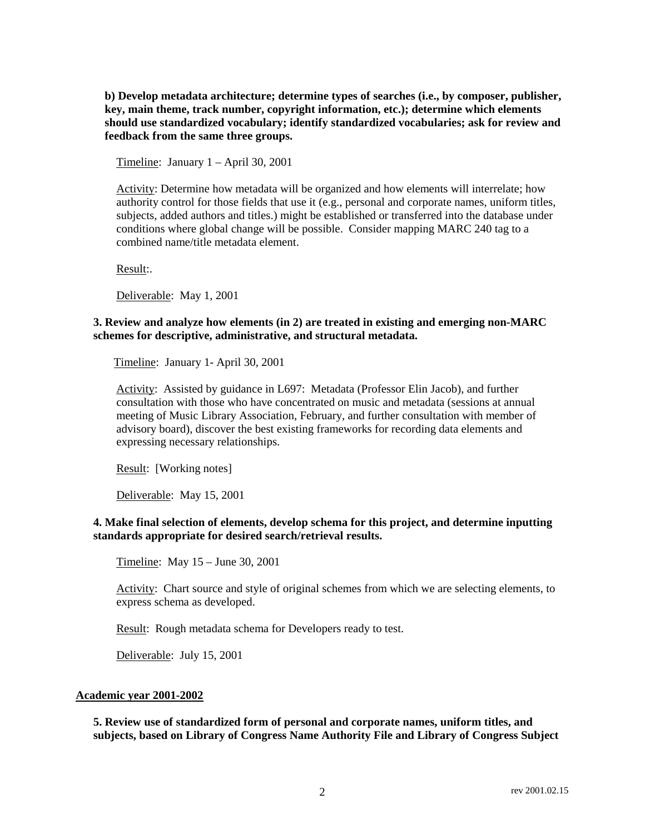**b) Develop metadata architecture; determine types of searches (i.e., by composer, publisher, key, main theme, track number, copyright information, etc.); determine which elements should use standardized vocabulary; identify standardized vocabularies; ask for review and feedback from the same three groups.**

Timeline: January 1 – April 30, 2001

Activity: Determine how metadata will be organized and how elements will interrelate; how authority control for those fields that use it (e.g., personal and corporate names, uniform titles, subjects, added authors and titles.) might be established or transferred into the database under conditions where global change will be possible. Consider mapping MARC 240 tag to a combined name/title metadata element.

Result:.

Deliverable: May 1, 2001

# **3. Review and analyze how elements (in 2) are treated in existing and emerging non-MARC schemes for descriptive, administrative, and structural metadata.**

Timeline: January 1- April 30, 2001

Activity: Assisted by guidance in L697: Metadata (Professor Elin Jacob), and further consultation with those who have concentrated on music and metadata (sessions at annual meeting of Music Library Association, February, and further consultation with member of advisory board), discover the best existing frameworks for recording data elements and expressing necessary relationships.

Result: [Working notes]

Deliverable: May 15, 2001

## **4. Make final selection of elements, develop schema for this project, and determine inputting standards appropriate for desired search/retrieval results.**

Timeline: May 15 – June 30, 2001

Activity: Chart source and style of original schemes from which we are selecting elements, to express schema as developed.

Result: Rough metadata schema for Developers ready to test.

Deliverable: July 15, 2001

#### **Academic year 2001-2002**

**5. Review use of standardized form of personal and corporate names, uniform titles, and subjects, based on Library of Congress Name Authority File and Library of Congress Subject**